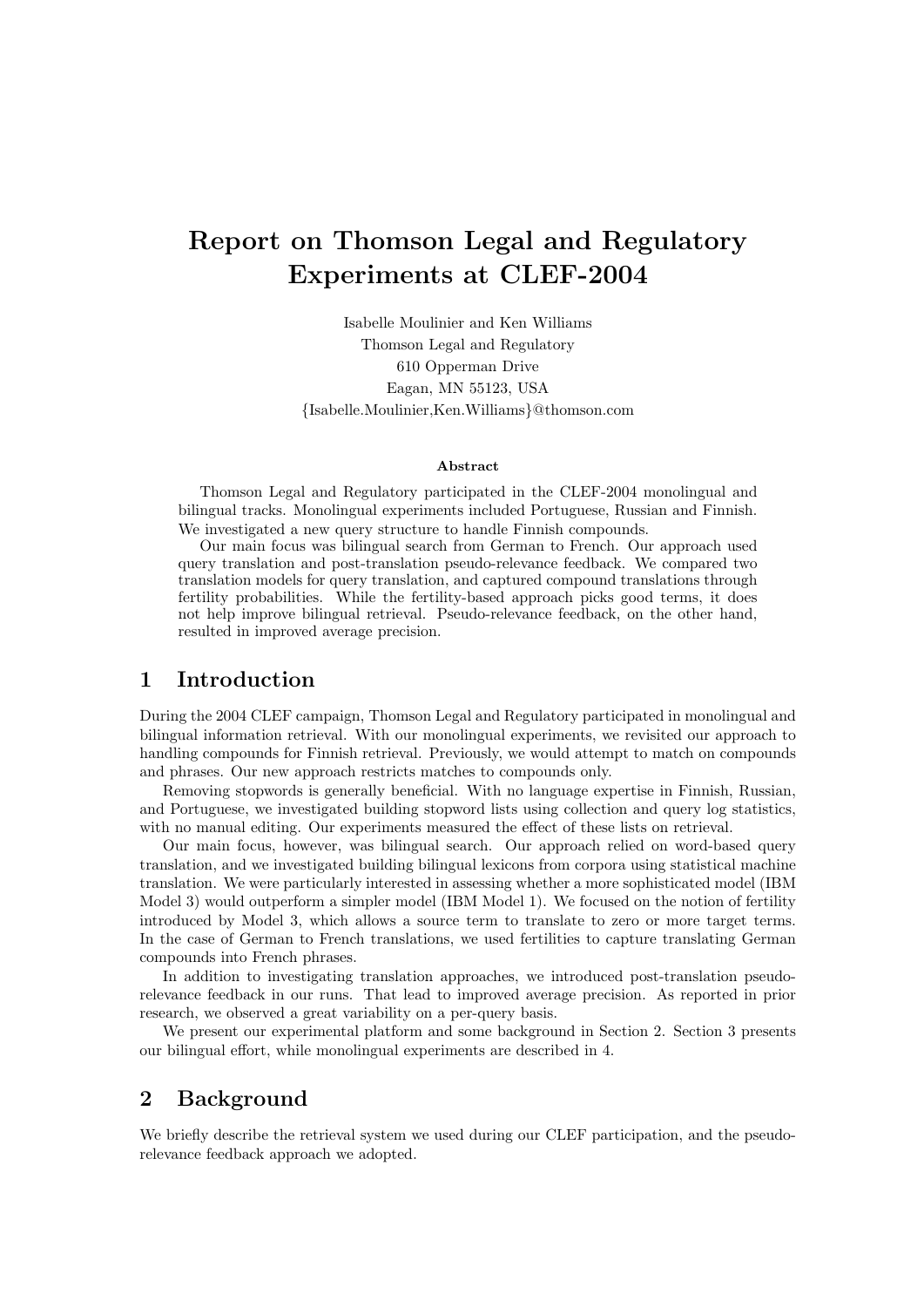# Report on Thomson Legal and Regulatory Experiments at CLEF-2004

Isabelle Moulinier and Ken Williams Thomson Legal and Regulatory 610 Opperman Drive Eagan, MN 55123, USA {Isabelle.Moulinier,Ken.Williams}@thomson.com

#### Abstract

Thomson Legal and Regulatory participated in the CLEF-2004 monolingual and bilingual tracks. Monolingual experiments included Portuguese, Russian and Finnish. We investigated a new query structure to handle Finnish compounds.

Our main focus was bilingual search from German to French. Our approach used query translation and post-translation pseudo-relevance feedback. We compared two translation models for query translation, and captured compound translations through fertility probabilities. While the fertility-based approach picks good terms, it does not help improve bilingual retrieval. Pseudo-relevance feedback, on the other hand, resulted in improved average precision.

# 1 Introduction

During the 2004 CLEF campaign, Thomson Legal and Regulatory participated in monolingual and bilingual information retrieval. With our monolingual experiments, we revisited our approach to handling compounds for Finnish retrieval. Previously, we would attempt to match on compounds and phrases. Our new approach restricts matches to compounds only.

Removing stopwords is generally beneficial. With no language expertise in Finnish, Russian, and Portuguese, we investigated building stopword lists using collection and query log statistics, with no manual editing. Our experiments measured the effect of these lists on retrieval.

Our main focus, however, was bilingual search. Our approach relied on word-based query translation, and we investigated building bilingual lexicons from corpora using statistical machine translation. We were particularly interested in assessing whether a more sophisticated model (IBM Model 3) would outperform a simpler model (IBM Model 1). We focused on the notion of fertility introduced by Model 3, which allows a source term to translate to zero or more target terms. In the case of German to French translations, we used fertilities to capture translating German compounds into French phrases.

In addition to investigating translation approaches, we introduced post-translation pseudorelevance feedback in our runs. That lead to improved average precision. As reported in prior research, we observed a great variability on a per-query basis.

We present our experimental platform and some background in Section 2. Section 3 presents our bilingual effort, while monolingual experiments are described in 4.

# 2 Background

We briefly describe the retrieval system we used during our CLEF participation, and the pseudorelevance feedback approach we adopted.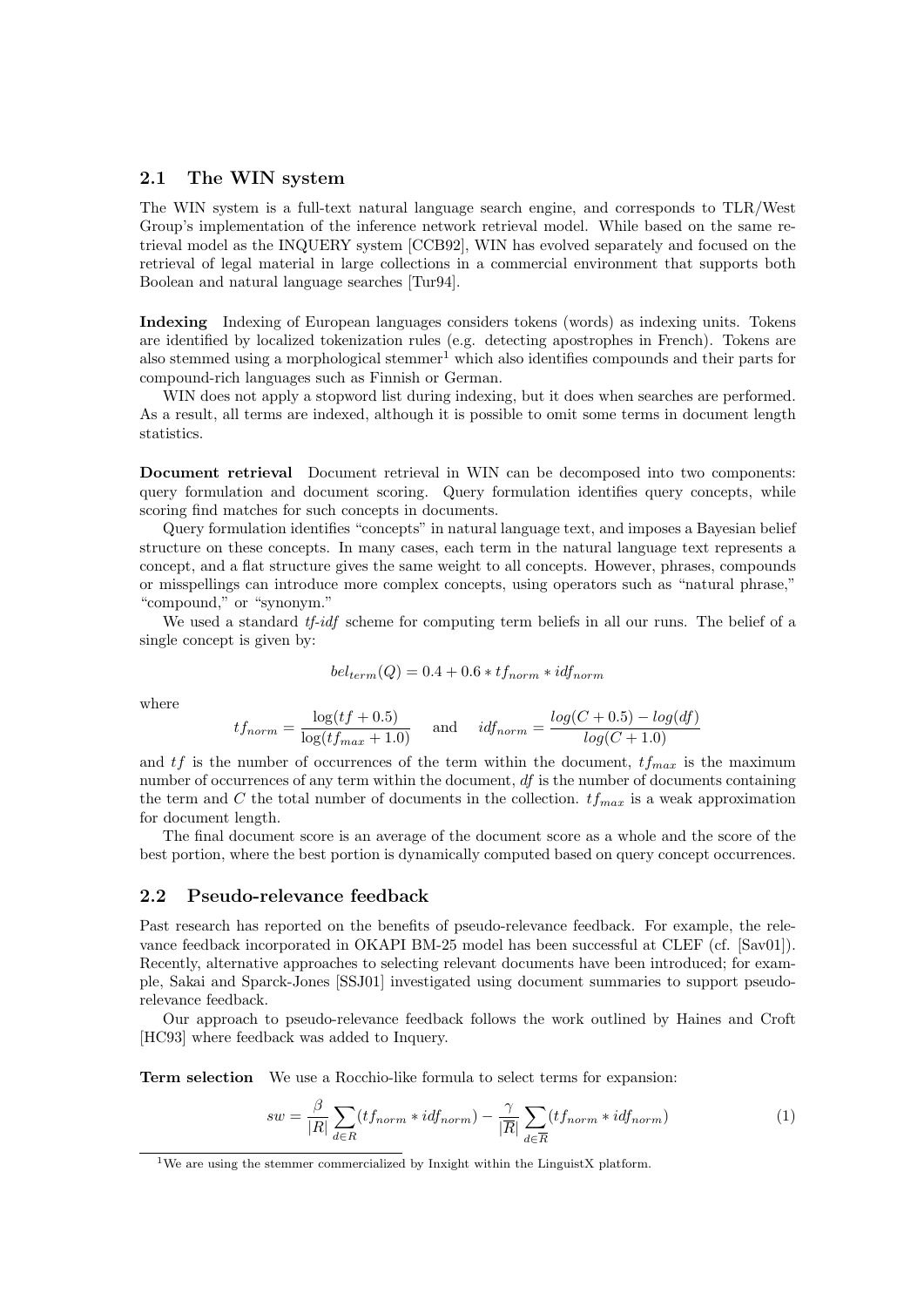## 2.1 The WIN system

The WIN system is a full-text natural language search engine, and corresponds to TLR/West Group's implementation of the inference network retrieval model. While based on the same retrieval model as the INQUERY system [CCB92], WIN has evolved separately and focused on the retrieval of legal material in large collections in a commercial environment that supports both Boolean and natural language searches [Tur94].

Indexing Indexing of European languages considers tokens (words) as indexing units. Tokens are identified by localized tokenization rules (e.g. detecting apostrophes in French). Tokens are also stemmed using a morphological stemmer<sup>1</sup> which also identifies compounds and their parts for compound-rich languages such as Finnish or German.

WIN does not apply a stopword list during indexing, but it does when searches are performed. As a result, all terms are indexed, although it is possible to omit some terms in document length statistics.

Document retrieval Document retrieval in WIN can be decomposed into two components: query formulation and document scoring. Query formulation identifies query concepts, while scoring find matches for such concepts in documents.

Query formulation identifies "concepts" in natural language text, and imposes a Bayesian belief structure on these concepts. In many cases, each term in the natural language text represents a concept, and a flat structure gives the same weight to all concepts. However, phrases, compounds or misspellings can introduce more complex concepts, using operators such as "natural phrase," "compound," or "synonym."

We used a standard *tf-idf* scheme for computing term beliefs in all our runs. The belief of a single concept is given by:

$$
bel_{term}(Q) = 0.4 + 0.6 * t_{norm} * id_{norm}
$$

where

$$
tf_{norm} = \frac{\log(tf + 0.5)}{\log(tf_{max} + 1.0)}
$$
 and 
$$
idf_{norm} = \frac{log(C + 0.5) - log(df)}{log(C + 1.0)}
$$

and tf is the number of occurrences of the term within the document,  $tf_{max}$  is the maximum number of occurrences of any term within the document,  $df$  is the number of documents containing the term and C the total number of documents in the collection.  $t_{max}$  is a weak approximation for document length.

The final document score is an average of the document score as a whole and the score of the best portion, where the best portion is dynamically computed based on query concept occurrences.

#### 2.2 Pseudo-relevance feedback

Past research has reported on the benefits of pseudo-relevance feedback. For example, the relevance feedback incorporated in OKAPI BM-25 model has been successful at CLEF (cf. [Sav01]). Recently, alternative approaches to selecting relevant documents have been introduced; for example, Sakai and Sparck-Jones [SSJ01] investigated using document summaries to support pseudorelevance feedback.

Our approach to pseudo-relevance feedback follows the work outlined by Haines and Croft [HC93] where feedback was added to Inquery.

Term selection We use a Rocchio-like formula to select terms for expansion:

$$
sw = \frac{\beta}{|R|} \sum_{d \in R} (tf_{norm} * idf_{norm}) - \frac{\gamma}{|\overline{R}|} \sum_{d \in \overline{R}} (tf_{norm} * idf_{norm}) \tag{1}
$$

<sup>1</sup>We are using the stemmer commercialized by Inxight within the LinguistX platform.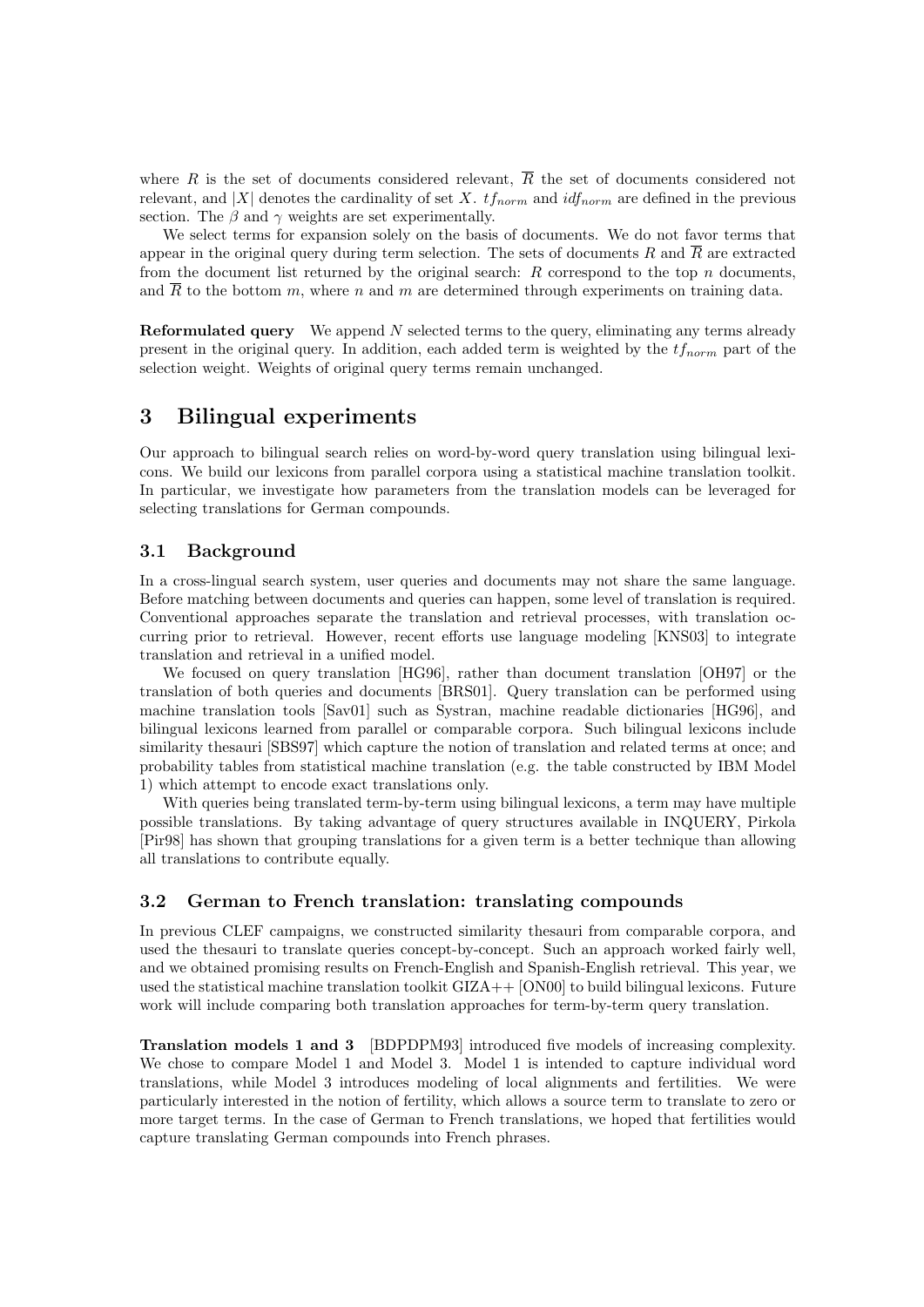where R is the set of documents considered relevant,  $\overline{R}$  the set of documents considered not relevant, and |X| denotes the cardinality of set X.  $tf_{norm}$  and  $idf_{norm}$  are defined in the previous section. The  $\beta$  and  $\gamma$  weights are set experimentally.

We select terms for expansion solely on the basis of documents. We do not favor terms that appear in the original query during term selection. The sets of documents R and  $\overline{R}$  are extracted from the document list returned by the original search:  $R$  correspond to the top  $n$  documents, and  $\overline{R}$  to the bottom m, where n and m are determined through experiments on training data.

Reformulated query We append  $N$  selected terms to the query, eliminating any terms already present in the original query. In addition, each added term is weighted by the  $tf_{norm}$  part of the selection weight. Weights of original query terms remain unchanged.

# 3 Bilingual experiments

Our approach to bilingual search relies on word-by-word query translation using bilingual lexicons. We build our lexicons from parallel corpora using a statistical machine translation toolkit. In particular, we investigate how parameters from the translation models can be leveraged for selecting translations for German compounds.

# 3.1 Background

In a cross-lingual search system, user queries and documents may not share the same language. Before matching between documents and queries can happen, some level of translation is required. Conventional approaches separate the translation and retrieval processes, with translation occurring prior to retrieval. However, recent efforts use language modeling [KNS03] to integrate translation and retrieval in a unified model.

We focused on query translation [HG96], rather than document translation [OH97] or the translation of both queries and documents [BRS01]. Query translation can be performed using machine translation tools [Sav01] such as Systran, machine readable dictionaries [HG96], and bilingual lexicons learned from parallel or comparable corpora. Such bilingual lexicons include similarity thesauri [SBS97] which capture the notion of translation and related terms at once; and probability tables from statistical machine translation (e.g. the table constructed by IBM Model 1) which attempt to encode exact translations only.

With queries being translated term-by-term using bilingual lexicons, a term may have multiple possible translations. By taking advantage of query structures available in INQUERY, Pirkola [Pir98] has shown that grouping translations for a given term is a better technique than allowing all translations to contribute equally.

## 3.2 German to French translation: translating compounds

In previous CLEF campaigns, we constructed similarity thesauri from comparable corpora, and used the thesauri to translate queries concept-by-concept. Such an approach worked fairly well, and we obtained promising results on French-English and Spanish-English retrieval. This year, we used the statistical machine translation toolkit GIZA++ [ON00] to build bilingual lexicons. Future work will include comparing both translation approaches for term-by-term query translation.

Translation models 1 and 3 [BDPDPM93] introduced five models of increasing complexity. We chose to compare Model 1 and Model 3. Model 1 is intended to capture individual word translations, while Model 3 introduces modeling of local alignments and fertilities. We were particularly interested in the notion of fertility, which allows a source term to translate to zero or more target terms. In the case of German to French translations, we hoped that fertilities would capture translating German compounds into French phrases.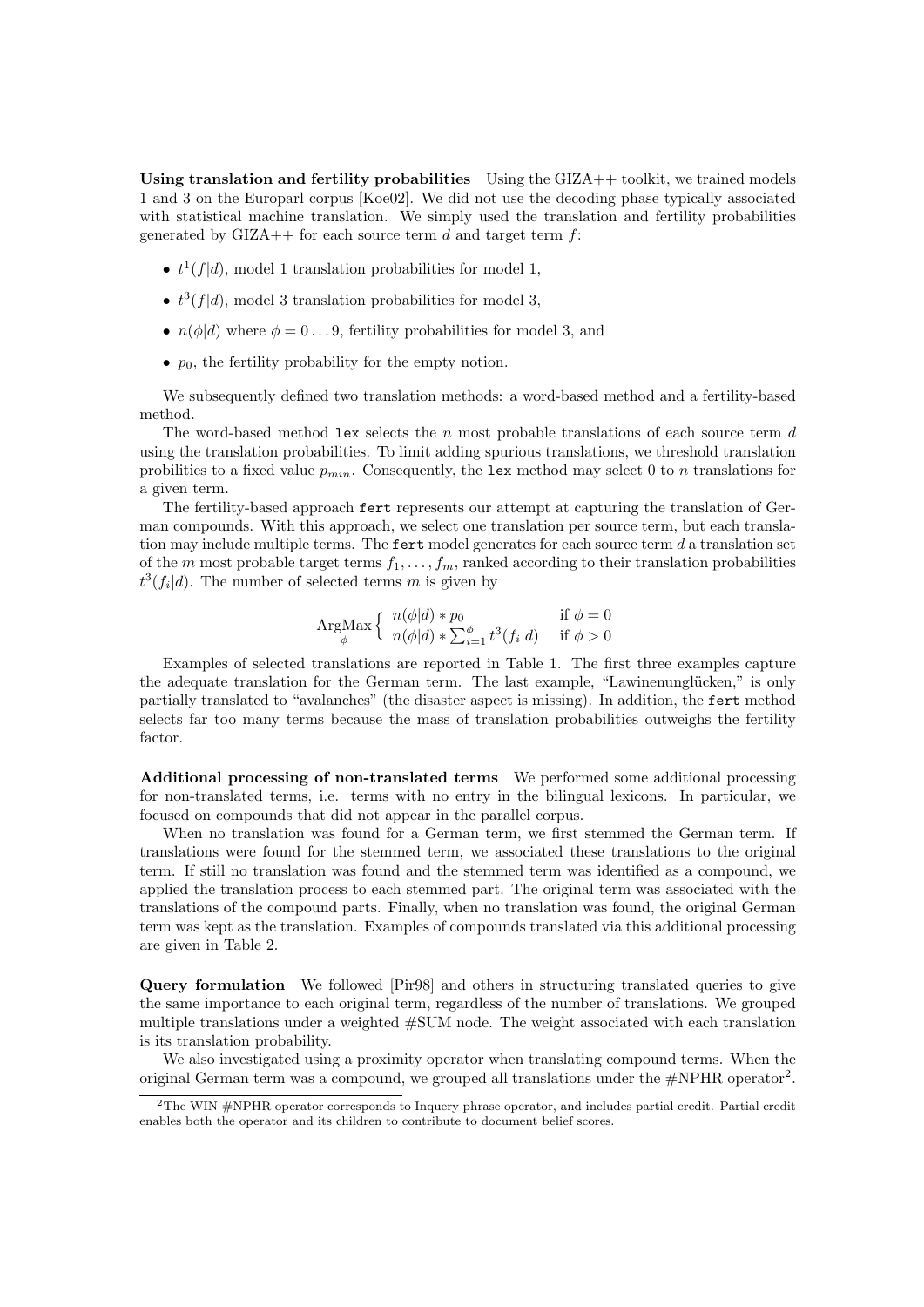Using translation and fertility probabilities Using the  $GIZA++$  toolkit, we trained models 1 and 3 on the Europarl corpus [Koe02]. We did not use the decoding phase typically associated with statistical machine translation. We simply used the translation and fertility probabilities generated by  $GIZA++$  for each source term d and target term f:

- $t^1(f|d)$ , model 1 translation probabilities for model 1,
- $t^3(f|d)$ , model 3 translation probabilities for model 3,
- $n(\phi|d)$  where  $\phi = 0...9$ , fertility probabilities for model 3, and
- $p_0$ , the fertility probability for the empty notion.

We subsequently defined two translation methods: a word-based method and a fertility-based method.

The word-based method lex selects the  $n$  most probable translations of each source term  $d$ using the translation probabilities. To limit adding spurious translations, we threshold translation probilities to a fixed value  $p_{min}$ . Consequently, the lex method may select 0 to n translations for a given term.

The fertility-based approach fert represents our attempt at capturing the translation of German compounds. With this approach, we select one translation per source term, but each translation may include multiple terms. The fert model generates for each source term  $d$  a translation set of the m most probable target terms  $f_1, \ldots, f_m$ , ranked according to their translation probabilities  $t^3(f_i|d)$ . The number of selected terms m is given by

ArgMax 
$$
\left\{\n \begin{array}{ll}\n n(\phi|d) * p_0 & \text{if } \phi = 0 \\
n(\phi|d) * \sum_{i=1}^{\phi} t^3(f_i|d) & \text{if } \phi > 0\n \end{array}\n\right.
$$

Examples of selected translations are reported in Table 1. The first three examples capture the adequate translation for the German term. The last example, "Lawinenunglücken," is only partially translated to "avalanches" (the disaster aspect is missing). In addition, the fert method selects far too many terms because the mass of translation probabilities outweighs the fertility factor.

Additional processing of non-translated terms We performed some additional processing for non-translated terms, i.e. terms with no entry in the bilingual lexicons. In particular, we focused on compounds that did not appear in the parallel corpus.

When no translation was found for a German term, we first stemmed the German term. If translations were found for the stemmed term, we associated these translations to the original term. If still no translation was found and the stemmed term was identified as a compound, we applied the translation process to each stemmed part. The original term was associated with the translations of the compound parts. Finally, when no translation was found, the original German term was kept as the translation. Examples of compounds translated via this additional processing are given in Table 2.

Query formulation We followed [Pir98] and others in structuring translated queries to give the same importance to each original term, regardless of the number of translations. We grouped multiple translations under a weighted #SUM node. The weight associated with each translation is its translation probability.

We also investigated using a proximity operator when translating compound terms. When the original German term was a compound, we grouped all translations under the  $\#\text{NPHR}$  operator<sup>2</sup>.

<sup>2</sup>The WIN #NPHR operator corresponds to Inquery phrase operator, and includes partial credit. Partial credit enables both the operator and its children to contribute to document belief scores.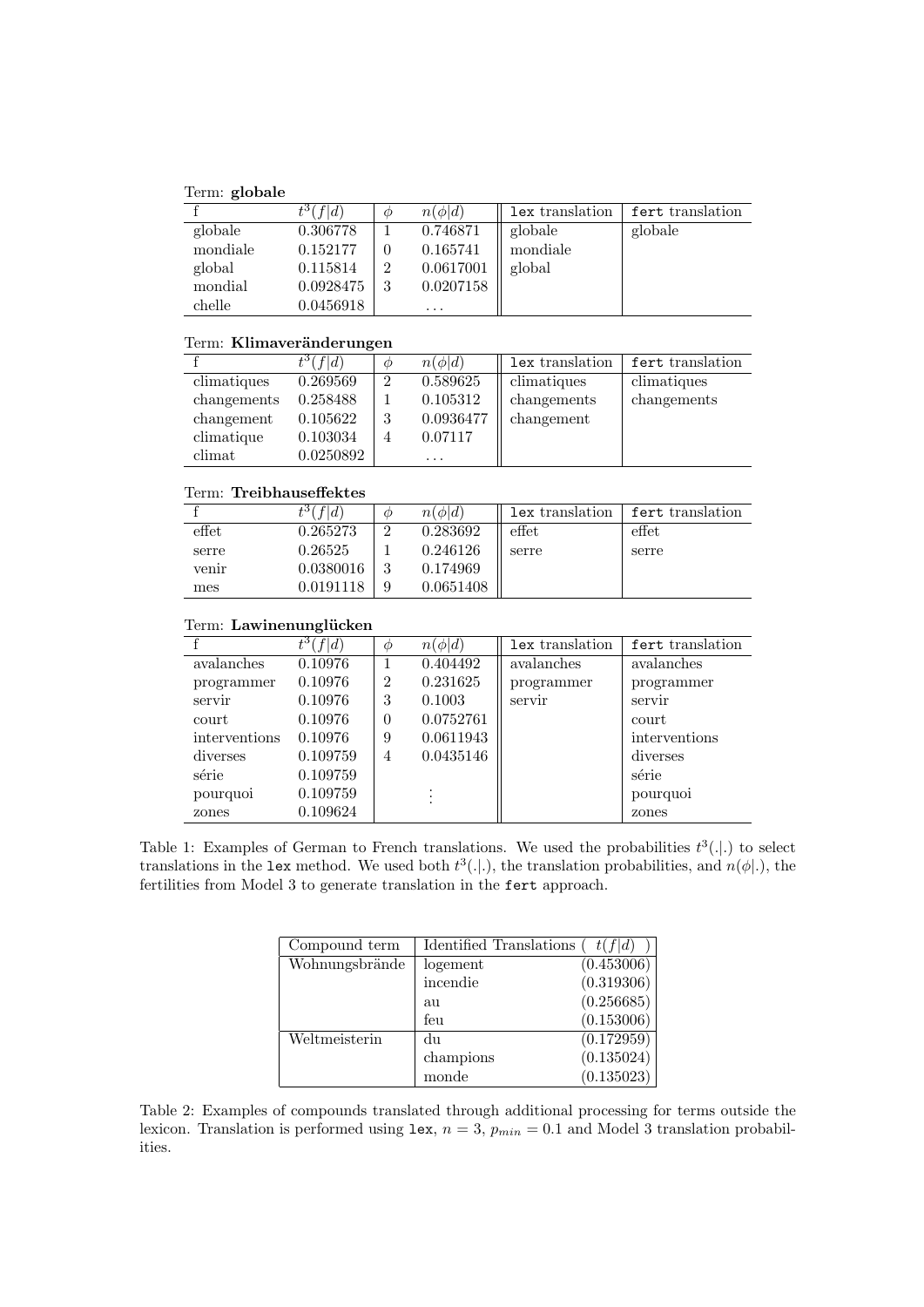#### Term: globale

|          | $t^3(f d)$ | ⊕ | $n(\phi d)$ | lex translation | fert translation |
|----------|------------|---|-------------|-----------------|------------------|
| globale  | 0.306778   |   | 0.746871    | globale         | globale          |
| mondiale | 0.152177   |   | 0.165741    | mondiale        |                  |
| global   | 0.115814   |   | 0.0617001   | global          |                  |
| mondial  | 0.0928475  | 2 | 0.0207158   |                 |                  |
| chelle   | 0.0456918  |   | $\cdots$    |                 |                  |

#### Term: Klimaveränderungen

|             | $t^3(f d)$ | Ø              | $n(\phi d)$ | lex translation | fert translation |
|-------------|------------|----------------|-------------|-----------------|------------------|
| climatiques | 0.269569   | $\overline{2}$ | 0.589625    | climatiques     | climatiques      |
| changements | 0.258488   |                | 0.105312    | changements     | changements      |
| changement  | 0.105622   | 3              | 0.0936477   | changement      |                  |
| climatique  | 0.103034   |                | 0.07117     |                 |                  |
| climat      | 0.0250892  |                | $\cdots$    |                 |                  |

#### Term: Treibhauseffektes

|       | ۴ð        | Ф          | $n(\phi d)$ | lex translation | fert translation |
|-------|-----------|------------|-------------|-----------------|------------------|
| effet | 0.265273  | $\epsilon$ | 0.283692    | effet           | effet            |
| serre | 0.26525   |            | 0.246126    | serre           | serre            |
| venir | 0.0380016 |            | 0.174969    |                 |                  |
| mes   | 0.0191118 |            | 0.0651408   |                 |                  |

#### Term: Lawinenunglücken

|               | $t^3(f d)$ | Φ              | $n(\phi d)$ | lex translation | fert translation |
|---------------|------------|----------------|-------------|-----------------|------------------|
| avalanches    | 0.10976    |                | 0.404492    | avalanches      | avalanches       |
| programmer    | 0.10976    | $\overline{2}$ | 0.231625    | programmer      | programmer       |
| servir        | 0.10976    | 3              | 0.1003      | servir          | servir           |
| court         | 0.10976    | 0              | 0.0752761   |                 | court            |
| interventions | 0.10976    | 9              | 0.0611943   |                 | interventions    |
| diverses      | 0.109759   | 4              | 0.0435146   |                 | diverses         |
| série         | 0.109759   |                |             |                 | série            |
| pourquoi      | 0.109759   |                |             |                 | pourquoi         |
| zones         | 0.109624   |                |             |                 | zones            |

Table 1: Examples of German to French translations. We used the probabilities  $t^3(.).$  to select translations in the lex method. We used both  $t^3(.).$ , the translation probabilities, and  $n(\phi|.)$ , the fertilities from Model 3 to generate translation in the fert approach.

| Compound term  | Identified Translations | t(f d)     |
|----------------|-------------------------|------------|
| Wohnungsbrände | logement                | (0.453006) |
|                | incendie                | (0.319306) |
|                | au                      | (0.256685) |
|                | feu                     | (0.153006) |
| Weltmeisterin  | du                      | (0.172959) |
|                | champions               | (0.135024) |
|                | monde                   | (0.135023) |

Table 2: Examples of compounds translated through additional processing for terms outside the lexicon. Translation is performed using lex,  $n = 3$ ,  $p_{min} = 0.1$  and Model 3 translation probabilities.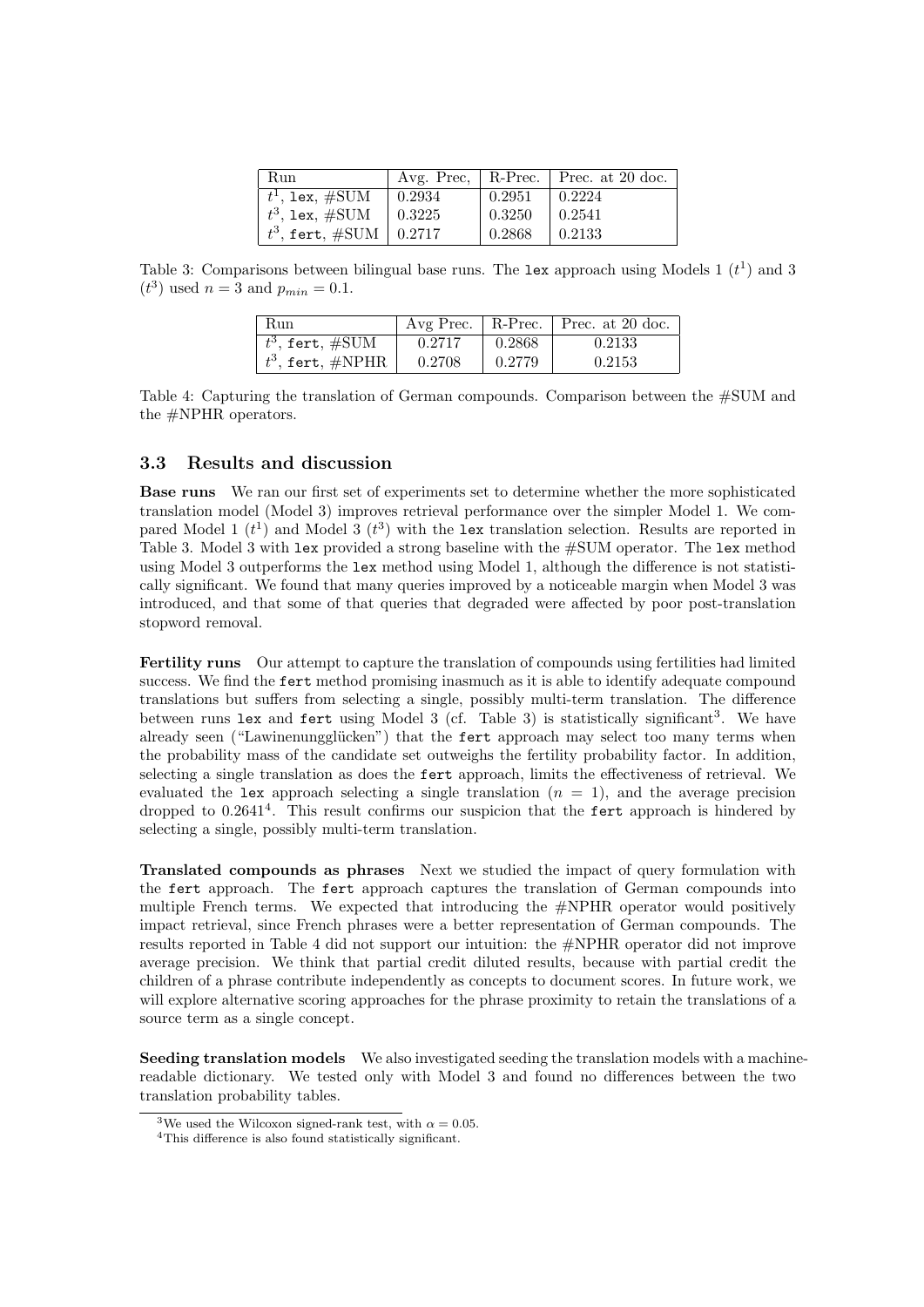| Run                         |              |               | Avg. Prec.   R-Prec.   Prec. at 20 doc. |
|-----------------------------|--------------|---------------|-----------------------------------------|
| $t^1$ , lex, $\#\text{SUM}$ | $\pm 0.2934$ | 0.2951        | $\pm 0.2224$                            |
| $t^3$ , lex, $\#\text{SUM}$ | $\pm 0.3225$ | $\mid 0.3250$ | $\pm 0.2541$                            |
| $t^3$ , fert, #SUM   0.2717 |              | 0.2868        | $\pm 0.2133$                            |

Table 3: Comparisons between bilingual base runs. The lex approach using Models 1  $(t<sup>1</sup>)$  and 3  $(t^3)$  used  $n = 3$  and  $p_{min} = 0.1$ .

| Run                            |        |        | Avg Prec.   R-Prec.   Prec. at 20 doc. |
|--------------------------------|--------|--------|----------------------------------------|
| $t^3$ , fert, $\#\mathrm{SUM}$ | 0.2717 | 0.2868 | 0.2133                                 |
| $t^3$ , fert, $\#\text{NPHR}$  | 0.2708 | 0.2779 | 0.2153                                 |

Table 4: Capturing the translation of German compounds. Comparison between the #SUM and the #NPHR operators.

#### 3.3 Results and discussion

Base runs We ran our first set of experiments set to determine whether the more sophisticated translation model (Model 3) improves retrieval performance over the simpler Model 1. We compared Model 1  $(t^1)$  and Model 3  $(t^3)$  with the lex translation selection. Results are reported in Table 3. Model 3 with lex provided a strong baseline with the #SUM operator. The lex method using Model 3 outperforms the lex method using Model 1, although the difference is not statistically significant. We found that many queries improved by a noticeable margin when Model 3 was introduced, and that some of that queries that degraded were affected by poor post-translation stopword removal.

Fertility runs Our attempt to capture the translation of compounds using fertilities had limited success. We find the fert method promising inasmuch as it is able to identify adequate compound translations but suffers from selecting a single, possibly multi-term translation. The difference between runs lex and fert using Model 3 (cf. Table 3) is statistically significant<sup>3</sup>. We have already seen ("Lawinenungglücken") that the fert approach may select too many terms when the probability mass of the candidate set outweighs the fertility probability factor. In addition, selecting a single translation as does the fert approach, limits the effectiveness of retrieval. We evaluated the lex approach selecting a single translation  $(n = 1)$ , and the average precision dropped to 0.2641<sup>4</sup>. This result confirms our suspicion that the fert approach is hindered by selecting a single, possibly multi-term translation.

Translated compounds as phrases Next we studied the impact of query formulation with the fert approach. The fert approach captures the translation of German compounds into multiple French terms. We expected that introducing the #NPHR operator would positively impact retrieval, since French phrases were a better representation of German compounds. The results reported in Table 4 did not support our intuition: the #NPHR operator did not improve average precision. We think that partial credit diluted results, because with partial credit the children of a phrase contribute independently as concepts to document scores. In future work, we will explore alternative scoring approaches for the phrase proximity to retain the translations of a source term as a single concept.

Seeding translation models We also investigated seeding the translation models with a machinereadable dictionary. We tested only with Model 3 and found no differences between the two translation probability tables.

<sup>&</sup>lt;sup>3</sup>We used the Wilcoxon signed-rank test, with  $\alpha = 0.05$ .

<sup>4</sup>This difference is also found statistically significant.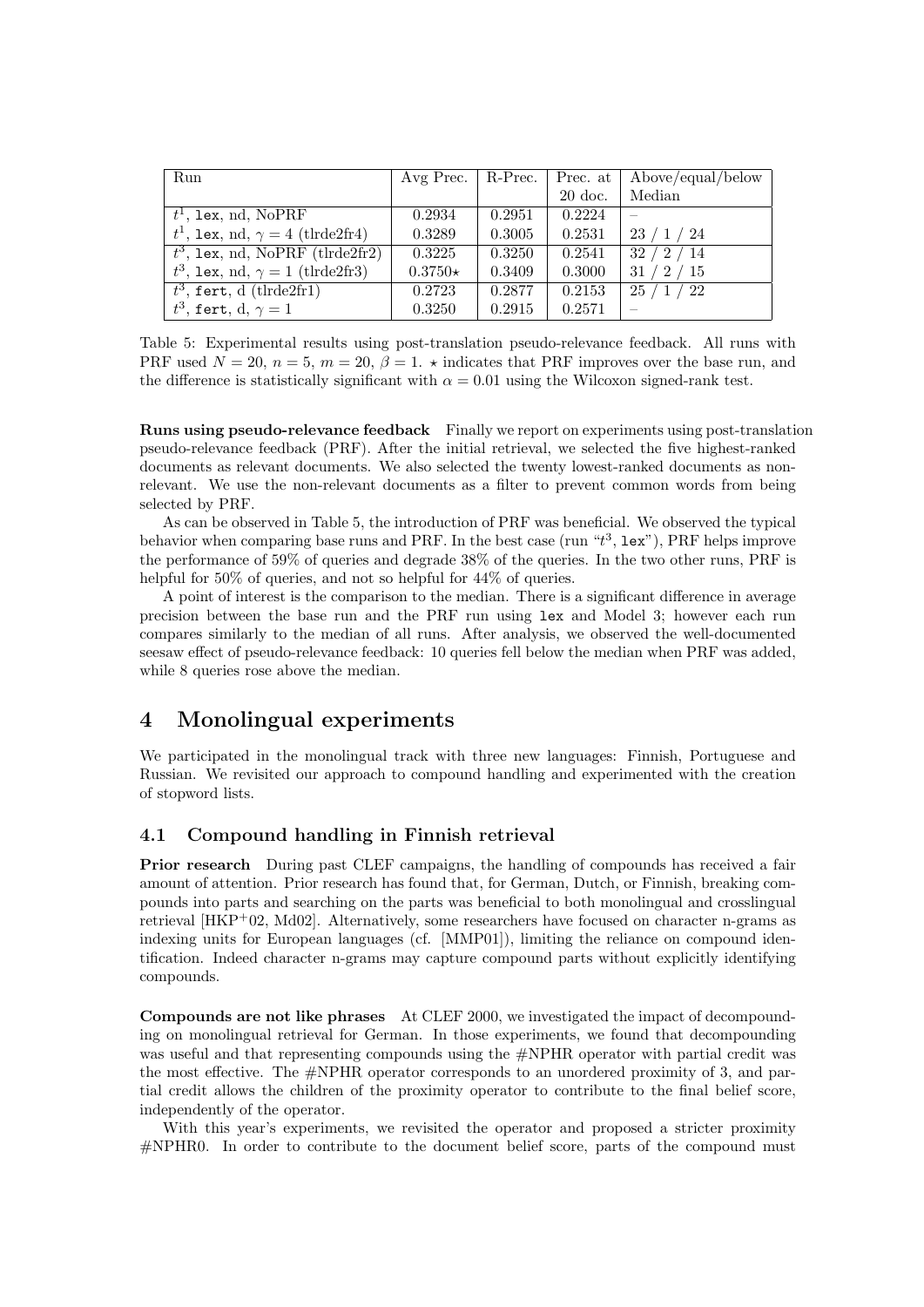| Run                                       | Avg Prec. $\vert$ R-Prec. $\vert$ Prec. at |        |           | Above/equal/below    |
|-------------------------------------------|--------------------------------------------|--------|-----------|----------------------|
|                                           |                                            |        | $20$ doc. | Median               |
| $t1$ , 1ex, nd, NoPRF                     | 0.2934                                     | 0.2951 | 0.2224    |                      |
| $t^1$ , lex, nd, $\gamma = 4$ (tlrde2fr4) | 0.3289                                     | 0.3005 | 0.2531    | 23/1/24              |
| $t^3$ , 1ex, nd, NoPRF (tlrde2fr2)        | 0.3225                                     | 0.3250 | 0.2541    | 32 / 2 / 14          |
| $t^3$ , lex, nd, $\gamma = 1$ (tlrde2fr3) | $0.3750*$                                  | 0.3409 | 0.3000    | $\sqrt{2}/15$<br>31/ |
| $t^3$ , fert, d (tlrde2fr1)               | 0.2723                                     | 0.2877 | 0.2153    | 25/1/22              |
| $t^3$ , fert, d, $\gamma = 1$             | 0.3250                                     | 0.2915 | 0.2571    |                      |

Table 5: Experimental results using post-translation pseudo-relevance feedback. All runs with PRF used  $N = 20$ ,  $n = 5$ ,  $m = 20$ ,  $\beta = 1$ .  $\star$  indicates that PRF improves over the base run, and the difference is statistically significant with  $\alpha = 0.01$  using the Wilcoxon signed-rank test.

Runs using pseudo-relevance feedback Finally we report on experiments using post-translation pseudo-relevance feedback (PRF). After the initial retrieval, we selected the five highest-ranked documents as relevant documents. We also selected the twenty lowest-ranked documents as nonrelevant. We use the non-relevant documents as a filter to prevent common words from being selected by PRF.

As can be observed in Table 5, the introduction of PRF was beneficial. We observed the typical behavior when comparing base runs and PRF. In the best case (run " $t^3$ , lex"), PRF helps improve the performance of 59% of queries and degrade 38% of the queries. In the two other runs, PRF is helpful for  $50\%$  of queries, and not so helpful for  $44\%$  of queries.

A point of interest is the comparison to the median. There is a significant difference in average precision between the base run and the PRF run using lex and Model 3; however each run compares similarly to the median of all runs. After analysis, we observed the well-documented seesaw effect of pseudo-relevance feedback: 10 queries fell below the median when PRF was added, while 8 queries rose above the median.

# 4 Monolingual experiments

We participated in the monolingual track with three new languages: Finnish, Portuguese and Russian. We revisited our approach to compound handling and experimented with the creation of stopword lists.

# 4.1 Compound handling in Finnish retrieval

Prior research During past CLEF campaigns, the handling of compounds has received a fair amount of attention. Prior research has found that, for German, Dutch, or Finnish, breaking compounds into parts and searching on the parts was beneficial to both monolingual and crosslingual retrieval [HKP<sup>+</sup>02, Md02]. Alternatively, some researchers have focused on character n-grams as indexing units for European languages (cf. [MMP01]), limiting the reliance on compound identification. Indeed character n-grams may capture compound parts without explicitly identifying compounds.

Compounds are not like phrases At CLEF 2000, we investigated the impact of decompounding on monolingual retrieval for German. In those experiments, we found that decompounding was useful and that representing compounds using the #NPHR operator with partial credit was the most effective. The #NPHR operator corresponds to an unordered proximity of 3, and partial credit allows the children of the proximity operator to contribute to the final belief score, independently of the operator.

With this year's experiments, we revisited the operator and proposed a stricter proximity #NPHR0. In order to contribute to the document belief score, parts of the compound must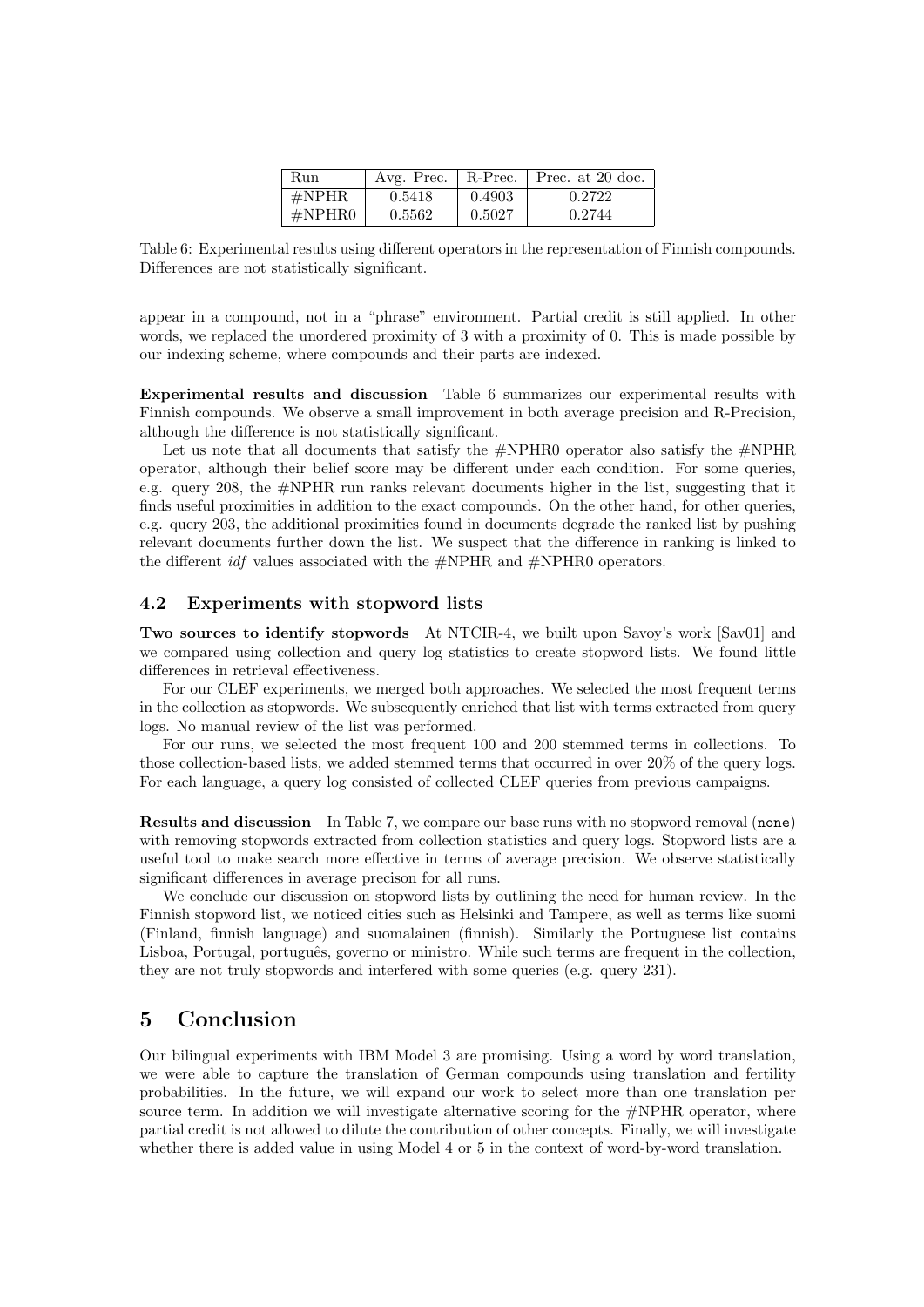| Run              | Avg. Prec. |        | $\mid$ R-Prec. $\mid$ Prec. at 20 doc. |
|------------------|------------|--------|----------------------------------------|
| $\#\text{NPHR}$  | 0.5418     | 0.4903 | 0.2722                                 |
| $\#\text{NPHR0}$ | 0.5562     | 0.5027 | 0.2744                                 |

Table 6: Experimental results using different operators in the representation of Finnish compounds. Differences are not statistically significant.

appear in a compound, not in a "phrase" environment. Partial credit is still applied. In other words, we replaced the unordered proximity of 3 with a proximity of 0. This is made possible by our indexing scheme, where compounds and their parts are indexed.

Experimental results and discussion Table 6 summarizes our experimental results with Finnish compounds. We observe a small improvement in both average precision and R-Precision, although the difference is not statistically significant.

Let us note that all documents that satisfy the  $\#\text{NPHR0}$  operator also satisfy the  $\#\text{NPHR}$ operator, although their belief score may be different under each condition. For some queries, e.g. query 208, the #NPHR run ranks relevant documents higher in the list, suggesting that it finds useful proximities in addition to the exact compounds. On the other hand, for other queries, e.g. query 203, the additional proximities found in documents degrade the ranked list by pushing relevant documents further down the list. We suspect that the difference in ranking is linked to the different *idf* values associated with the  $\#NPHR$  and  $\#NPHR0$  operators.

### 4.2 Experiments with stopword lists

Two sources to identify stopwords At NTCIR-4, we built upon Savoy's work [Sav01] and we compared using collection and query log statistics to create stopword lists. We found little differences in retrieval effectiveness.

For our CLEF experiments, we merged both approaches. We selected the most frequent terms in the collection as stopwords. We subsequently enriched that list with terms extracted from query logs. No manual review of the list was performed.

For our runs, we selected the most frequent 100 and 200 stemmed terms in collections. To those collection-based lists, we added stemmed terms that occurred in over 20% of the query logs. For each language, a query log consisted of collected CLEF queries from previous campaigns.

Results and discussion In Table 7, we compare our base runs with no stopword removal (none) with removing stopwords extracted from collection statistics and query logs. Stopword lists are a useful tool to make search more effective in terms of average precision. We observe statistically significant differences in average precison for all runs.

We conclude our discussion on stopword lists by outlining the need for human review. In the Finnish stopword list, we noticed cities such as Helsinki and Tampere, as well as terms like suomi (Finland, finnish language) and suomalainen (finnish). Similarly the Portuguese list contains Lisboa, Portugal, português, governo or ministro. While such terms are frequent in the collection, they are not truly stopwords and interfered with some queries (e.g. query 231).

# 5 Conclusion

Our bilingual experiments with IBM Model 3 are promising. Using a word by word translation, we were able to capture the translation of German compounds using translation and fertility probabilities. In the future, we will expand our work to select more than one translation per source term. In addition we will investigate alternative scoring for the  $\#NPHR$  operator, where partial credit is not allowed to dilute the contribution of other concepts. Finally, we will investigate whether there is added value in using Model 4 or 5 in the context of word-by-word translation.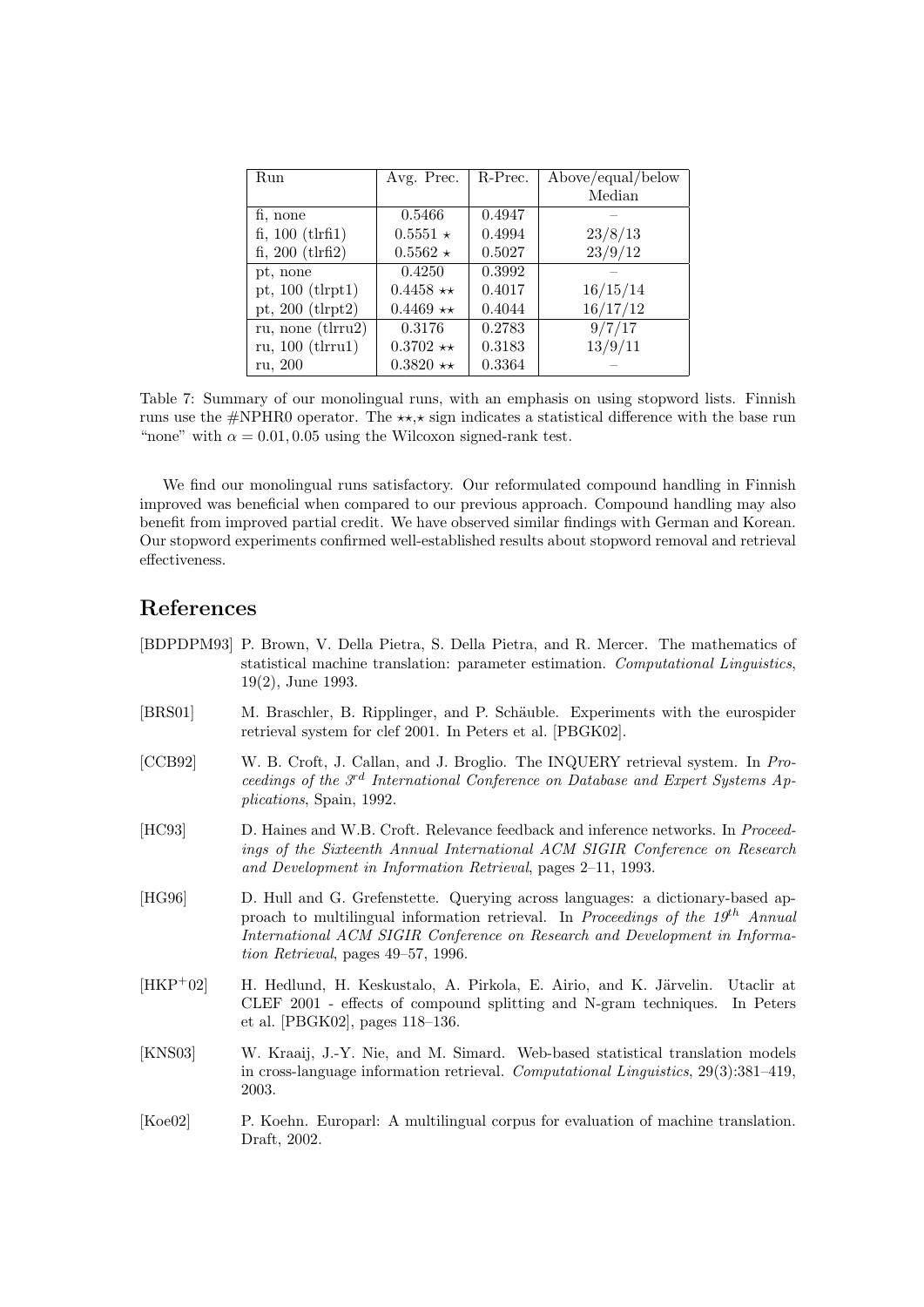| Run                                   | Avg. Prec.          | R-Prec. | Above/equal/below |
|---------------------------------------|---------------------|---------|-------------------|
|                                       |                     |         | Median            |
| fi, none                              | 0.5466              | 0.4947  |                   |
| fi, 100 (thrfi1)                      | $0.5551 +$          | 0.4994  | 23/8/13           |
| fi, 200 (thrfi2)                      | $0.5562*$           | 0.5027  | 23/9/12           |
| pt, none                              | 0.4250              | 0.3992  |                   |
| pt, $100$ (tlrpt1)                    | $0.4458 +$          | 0.4017  | 16/15/14          |
| pt, $200$ (tlrpt2)                    | $0.4469 \star\star$ | 0.4044  | 16/17/12          |
| ru, none $(t\overline{\text{lrru2})}$ | 0.3176              | 0.2783  | 9/7/17            |
| ru, $100$ (tlrru1)                    | $0.3702 \star\star$ | 0.3183  | 13/9/11           |
| ru, 200                               | $0.3820 + \star$    | 0.3364  |                   |

Table 7: Summary of our monolingual runs, with an emphasis on using stopword lists. Finnish runs use the #NPHR0 operator. The  $\star\star\star$  sign indicates a statistical difference with the base run "none" with  $\alpha = 0.01, 0.05$  using the Wilcoxon signed-rank test.

We find our monolingual runs satisfactory. Our reformulated compound handling in Finnish improved was beneficial when compared to our previous approach. Compound handling may also benefit from improved partial credit. We have observed similar findings with German and Korean. Our stopword experiments confirmed well-established results about stopword removal and retrieval effectiveness.

# References

- [BDPDPM93] P. Brown, V. Della Pietra, S. Della Pietra, and R. Mercer. The mathematics of statistical machine translation: parameter estimation. Computational Linguistics, 19(2), June 1993. [BRS01] M. Braschler, B. Ripplinger, and P. Schäuble. Experiments with the eurospider retrieval system for clef 2001. In Peters et al. [PBGK02]. [CCB92] W. B. Croft, J. Callan, and J. Broglio. The INQUERY retrieval system. In Proceedings of the  $3^{rd}$  International Conference on Database and Expert Systems Applications, Spain, 1992.
- [HC93] D. Haines and W.B. Croft. Relevance feedback and inference networks. In Proceedings of the Sixteenth Annual International ACM SIGIR Conference on Research and Development in Information Retrieval, pages 2–11, 1993.
- [HG96] D. Hull and G. Grefenstette. Querying across languages: a dictionary-based approach to multilingual information retrieval. In Proceedings of the  $19<sup>th</sup>$  Annual International ACM SIGIR Conference on Research and Development in Information Retrieval, pages 49–57, 1996.
- [HKP+02] H. Hedlund, H. Keskustalo, A. Pirkola, E. Airio, and K. Järvelin. Utaclir at CLEF 2001 - effects of compound splitting and N-gram techniques. In Peters et al. [PBGK02], pages 118–136.
- [KNS03] W. Kraaij, J.-Y. Nie, and M. Simard. Web-based statistical translation models in cross-language information retrieval. Computational Linguistics, 29(3):381–419, 2003.
- [Koe02] P. Koehn. Europarl: A multilingual corpus for evaluation of machine translation. Draft, 2002.